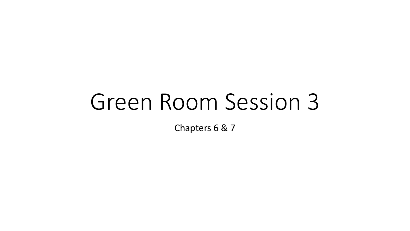# Green Room Session 3

Chapters 6 & 7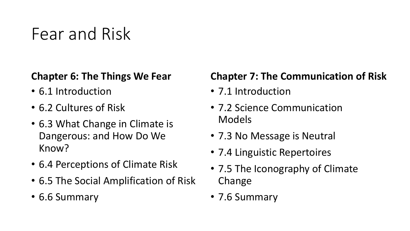### Fear and Risk

#### **Chapter 6: The Things We Fear**

- 6.1 Introduction
- 6.2 Cultures of Risk
- 6.3 What Change in Climate is Dangerous: and How Do We Know?
- 6.4 Perceptions of Climate Risk
- 6.5 The Social Amplification of Risk
- 6.6 Summary

#### **Chapter 7: The Communication of Risk**

- 7.1 Introduction
- 7.2 Science Communication Models
- 7.3 No Message is Neutral
- 7.4 Linguistic Repertoires
- 7.5 The Iconography of Climate Change
- 7.6 Summary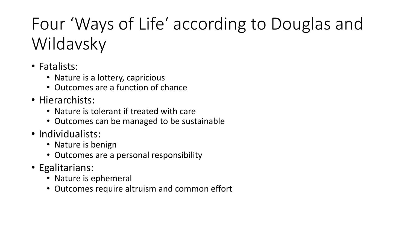## Four 'Ways of Life' according to Douglas and Wildavsky

- Fatalists:
	- Nature is a lottery, capricious
	- Outcomes are a function of chance
- Hierarchists:
	- Nature is tolerant if treated with care
	- Outcomes can be managed to be sustainable
- Individualists:
	- Nature is benign
	- Outcomes are a personal responsibility
- Egalitarians:
	- Nature is ephemeral
	- Outcomes require altruism and common effort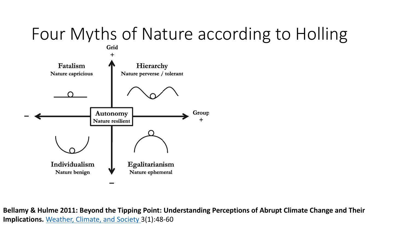

Bellamy & Hulme 2011: Beyond the Tipping Point: Understanding Perceptions of *I* **Implications.** Weather, Climate, and Society 3(1):48-60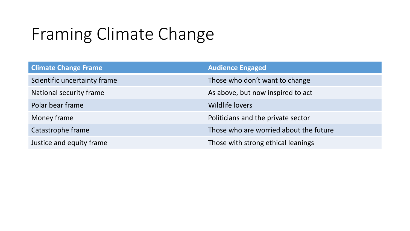### Framing Climate Change

| <b>Climate Change Frame</b>  | <b>Audience Engaged</b>                |
|------------------------------|----------------------------------------|
| Scientific uncertainty frame | Those who don't want to change         |
| National security frame      | As above, but now inspired to act      |
| Polar bear frame             | <b>Wildlife lovers</b>                 |
| Money frame                  | Politicians and the private sector     |
| Catastrophe frame            | Those who are worried about the future |
| Justice and equity frame     | Those with strong ethical leanings     |